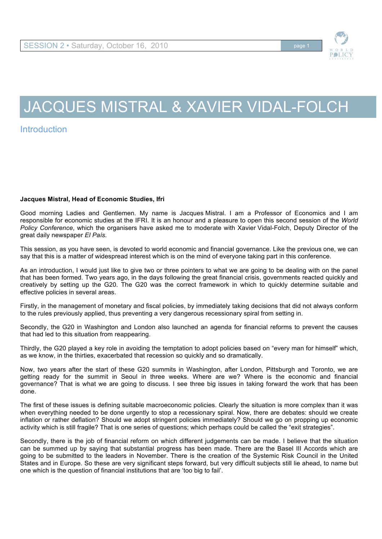

## JACQUES MISTRAL & XAVIER VIDAL-FOLCH

**Introduction** 

## **Jacques Mistral, Head of Economic Studies, Ifri**

Good morning Ladies and Gentlemen. My name is Jacques Mistral. I am a Professor of Economics and I am responsible for economic studies at the IFRI. It is an honour and a pleasure to open this second session of the *World Policy Conference*, which the organisers have asked me to moderate with Xavier Vidal-Folch, Deputy Director of the great daily newspaper *El País*.

This session, as you have seen, is devoted to world economic and financial governance. Like the previous one, we can say that this is a matter of widespread interest which is on the mind of everyone taking part in this conference.

As an introduction, I would just like to give two or three pointers to what we are going to be dealing with on the panel that has been formed. Two years ago, in the days following the great financial crisis, governments reacted quickly and creatively by setting up the G20. The G20 was the correct framework in which to quickly determine suitable and effective policies in several areas.

Firstly, in the management of monetary and fiscal policies, by immediately taking decisions that did not always conform to the rules previously applied, thus preventing a very dangerous recessionary spiral from setting in.

Secondly, the G20 in Washington and London also launched an agenda for financial reforms to prevent the causes that had led to this situation from reappearing.

Thirdly, the G20 played a key role in avoiding the temptation to adopt policies based on "every man for himself" which, as we know, in the thirties, exacerbated that recession so quickly and so dramatically.

Now, two years after the start of these G20 summits in Washington, after London, Pittsburgh and Toronto, we are getting ready for the summit in Seoul in three weeks. Where are we? Where is the economic and financial governance? That is what we are going to discuss. I see three big issues in taking forward the work that has been done.

The first of these issues is defining suitable macroeconomic policies. Clearly the situation is more complex than it was when everything needed to be done urgently to stop a recessionary spiral. Now, there are debates: should we create inflation or rather deflation? Should we adopt stringent policies immediately? Should we go on propping up economic activity which is still fragile? That is one series of questions; which perhaps could be called the "exit strategies".

Secondly, there is the job of financial reform on which different judgements can be made. I believe that the situation can be summed up by saying that substantial progress has been made. There are the Basel III Accords which are going to be submitted to the leaders in November. There is the creation of the Systemic Risk Council in the United States and in Europe. So these are very significant steps forward, but very difficult subjects still lie ahead, to name but one which is the question of financial institutions that are 'too big to fail'.